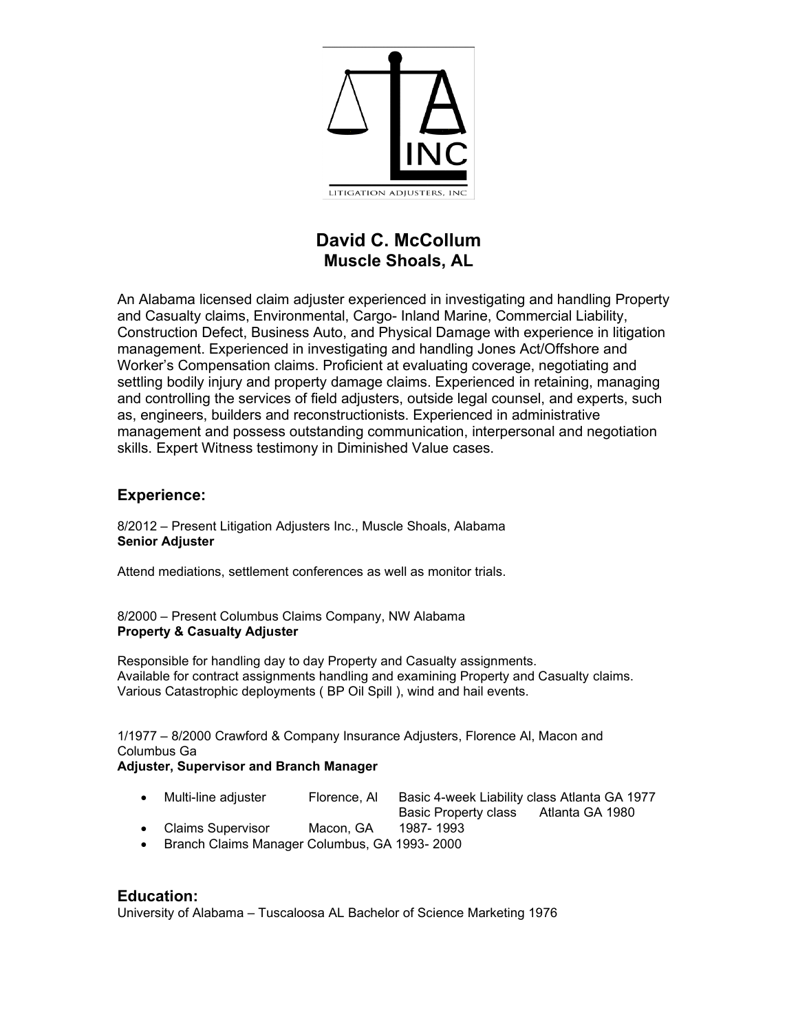

# **David C. McCollum Muscle Shoals, AL**

An Alabama licensed claim adjuster experienced in investigating and handling Property and Casualty claims, Environmental, Cargo- Inland Marine, Commercial Liability, Construction Defect, Business Auto, and Physical Damage with experience in litigation management. Experienced in investigating and handling Jones Act/Offshore and Worker's Compensation claims. Proficient at evaluating coverage, negotiating and settling bodily injury and property damage claims. Experienced in retaining, managing and controlling the services of field adjusters, outside legal counsel, and experts, such as, engineers, builders and reconstructionists. Experienced in administrative management and possess outstanding communication, interpersonal and negotiation skills. Expert Witness testimony in Diminished Value cases.

### **Experience:**

8/2012 – Present Litigation Adjusters Inc., Muscle Shoals, Alabama **Senior Adjuster**

Attend mediations, settlement conferences as well as monitor trials.

8/2000 – Present Columbus Claims Company, NW Alabama **Property & Casualty Adjuster**

Responsible for handling day to day Property and Casualty assignments. Available for contract assignments handling and examining Property and Casualty claims. Various Catastrophic deployments ( BP Oil Spill ), wind and hail events.

1/1977 – 8/2000 Crawford & Company Insurance Adjusters, Florence Al, Macon and Columbus Ga

#### **Adjuster, Supervisor and Branch Manager**

- Multi-line adjuster Florence, Al Basic 4-week Liability class Atlanta GA 1977
	- Basic Property class Atlanta GA 1980
- Claims Supervisor Macon, GA 1987- 1993
- Branch Claims Manager Columbus, GA 1993- 2000

#### **Education:** University of Alabama – Tuscaloosa AL Bachelor of Science Marketing 1976